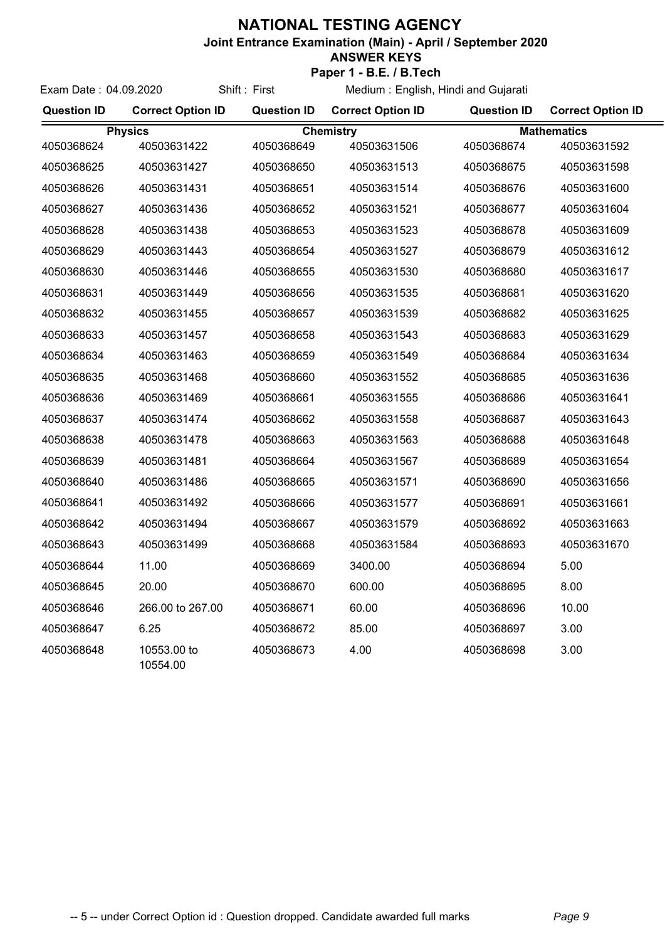## **NATIONAL TESTING AGENCY**

**Joint Entrance Examination (Main) - April / September 2020**

## **ANSWER KEYS**

|                       | Paper 1 - B.E. / B.Tech  |                    |                                     |                    |                          |  |  |
|-----------------------|--------------------------|--------------------|-------------------------------------|--------------------|--------------------------|--|--|
| Exam Date: 04.09.2020 |                          | Shift: First       | Medium: English, Hindi and Gujarati |                    |                          |  |  |
| <b>Question ID</b>    | <b>Correct Option ID</b> | <b>Question ID</b> | <b>Correct Option ID</b>            | <b>Question ID</b> | <b>Correct Option ID</b> |  |  |
| <b>Physics</b>        |                          | <b>Chemistry</b>   |                                     | <b>Mathematics</b> |                          |  |  |
| 4050368624            | 40503631422              | 4050368649         | 40503631506                         | 4050368674         | 40503631592              |  |  |
| 4050368625            | 40503631427              | 4050368650         | 40503631513                         | 4050368675         | 40503631598              |  |  |
| 4050368626            | 40503631431              | 4050368651         | 40503631514                         | 4050368676         | 40503631600              |  |  |
| 4050368627            | 40503631436              | 4050368652         | 40503631521                         | 4050368677         | 40503631604              |  |  |
| 4050368628            | 40503631438              | 4050368653         | 40503631523                         | 4050368678         | 40503631609              |  |  |
| 4050368629            | 40503631443              | 4050368654         | 40503631527                         | 4050368679         | 40503631612              |  |  |
| 4050368630            | 40503631446              | 4050368655         | 40503631530                         | 4050368680         | 40503631617              |  |  |
| 4050368631            | 40503631449              | 4050368656         | 40503631535                         | 4050368681         | 40503631620              |  |  |
| 4050368632            | 40503631455              | 4050368657         | 40503631539                         | 4050368682         | 40503631625              |  |  |
| 4050368633            | 40503631457              | 4050368658         | 40503631543                         | 4050368683         | 40503631629              |  |  |
| 4050368634            | 40503631463              | 4050368659         | 40503631549                         | 4050368684         | 40503631634              |  |  |
| 4050368635            | 40503631468              | 4050368660         | 40503631552                         | 4050368685         | 40503631636              |  |  |
| 4050368636            | 40503631469              | 4050368661         | 40503631555                         | 4050368686         | 40503631641              |  |  |
| 4050368637            | 40503631474              | 4050368662         | 40503631558                         | 4050368687         | 40503631643              |  |  |
| 4050368638            | 40503631478              | 4050368663         | 40503631563                         | 4050368688         | 40503631648              |  |  |
| 4050368639            | 40503631481              | 4050368664         | 40503631567                         | 4050368689         | 40503631654              |  |  |
| 4050368640            | 40503631486              | 4050368665         | 40503631571                         | 4050368690         | 40503631656              |  |  |
| 4050368641            | 40503631492              | 4050368666         | 40503631577                         | 4050368691         | 40503631661              |  |  |
| 4050368642            | 40503631494              | 4050368667         | 40503631579                         | 4050368692         | 40503631663              |  |  |
| 4050368643            | 40503631499              | 4050368668         | 40503631584                         | 4050368693         | 40503631670              |  |  |
| 4050368644            | 11.00                    | 4050368669         | 3400.00                             | 4050368694         | 5.00                     |  |  |
| 4050368645            | 20.00                    | 4050368670         | 600.00                              | 4050368695         | 8.00                     |  |  |
| 4050368646            | 266.00 to 267.00         | 4050368671         | 60.00                               | 4050368696         | 10.00                    |  |  |
| 4050368647            | 6.25                     | 4050368672         | 85.00                               | 4050368697         | 3.00                     |  |  |
| 4050368648            | 10553.00 to<br>10554.00  | 4050368673         | 4.00                                | 4050368698         | 3.00                     |  |  |